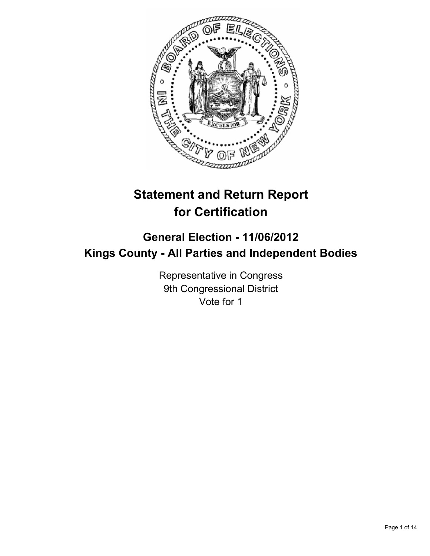

# **Statement and Return Report for Certification**

## **General Election - 11/06/2012 Kings County - All Parties and Independent Bodies**

Representative in Congress 9th Congressional District Vote for 1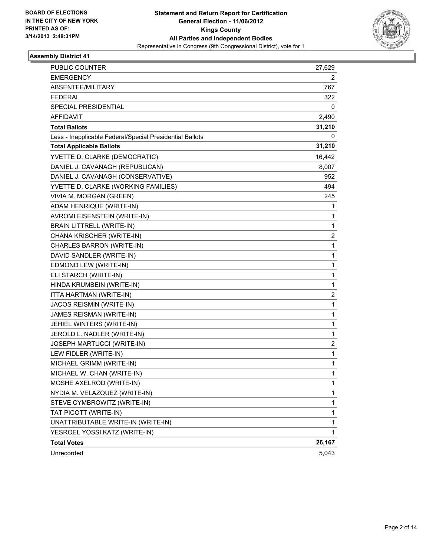

| <b>PUBLIC COUNTER</b>                                    | 27,629                  |
|----------------------------------------------------------|-------------------------|
| <b>EMERGENCY</b>                                         | 2                       |
| ABSENTEE/MILITARY                                        | 767                     |
| <b>FEDERAL</b>                                           | 322                     |
| SPECIAL PRESIDENTIAL                                     | 0                       |
| AFFIDAVIT                                                | 2,490                   |
| <b>Total Ballots</b>                                     | 31,210                  |
| Less - Inapplicable Federal/Special Presidential Ballots | 0                       |
| <b>Total Applicable Ballots</b>                          | 31,210                  |
| YVETTE D. CLARKE (DEMOCRATIC)                            | 16,442                  |
| DANIEL J. CAVANAGH (REPUBLICAN)                          | 8,007                   |
| DANIEL J. CAVANAGH (CONSERVATIVE)                        | 952                     |
| YVETTE D. CLARKE (WORKING FAMILIES)                      | 494                     |
| VIVIA M. MORGAN (GREEN)                                  | 245                     |
| ADAM HENRIQUE (WRITE-IN)                                 | 1                       |
| AVROMI EISENSTEIN (WRITE-IN)                             | 1                       |
| <b>BRAIN LITTRELL (WRITE-IN)</b>                         | $\mathbf{1}$            |
| CHANA KRISCHER (WRITE-IN)                                | $\overline{\mathbf{c}}$ |
| CHARLES BARRON (WRITE-IN)                                | 1                       |
| DAVID SANDLER (WRITE-IN)                                 | 1                       |
| EDMOND LEW (WRITE-IN)                                    | $\mathbf 1$             |
| ELI STARCH (WRITE-IN)                                    | 1                       |
| HINDA KRUMBEIN (WRITE-IN)                                | 1                       |
| ITTA HARTMAN (WRITE-IN)                                  | $\overline{\mathbf{c}}$ |
| JACOS REISMIN (WRITE-IN)                                 | 1                       |
| JAMES REISMAN (WRITE-IN)                                 | 1                       |
| JEHIEL WINTERS (WRITE-IN)                                | 1                       |
| JEROLD L. NADLER (WRITE-IN)                              | 1                       |
| JOSEPH MARTUCCI (WRITE-IN)                               | 2                       |
| LEW FIDLER (WRITE-IN)                                    | $\mathbf 1$             |
| MICHAEL GRIMM (WRITE-IN)                                 | 1                       |
| MICHAEL W. CHAN (WRITE-IN)                               | 1                       |
| MOSHE AXELROD (WRITE-IN)                                 | 1                       |
| NYDIA M. VELAZQUEZ (WRITE-IN)                            | 1                       |
| STEVE CYMBROWITZ (WRITE-IN)                              | $\mathbf{1}$            |
| TAT PICOTT (WRITE-IN)                                    | $\mathbf 1$             |
| UNATTRIBUTABLE WRITE-IN (WRITE-IN)                       | 1                       |
| YESROEL YOSSI KATZ (WRITE-IN)                            | 1                       |
| <b>Total Votes</b>                                       | 26,167                  |
| Unrecorded                                               | 5,043                   |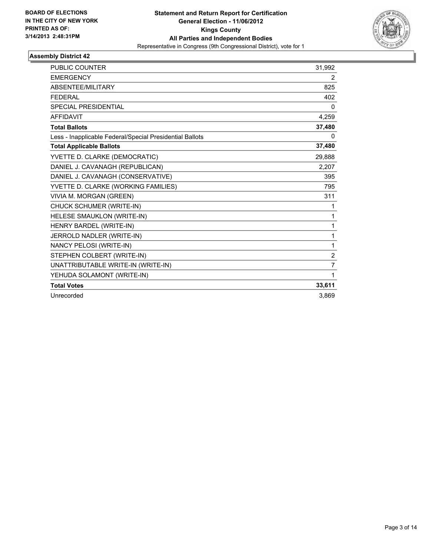

| <b>PUBLIC COUNTER</b>                                    | 31,992         |
|----------------------------------------------------------|----------------|
| <b>EMERGENCY</b>                                         | $\overline{2}$ |
| ABSENTEE/MILITARY                                        | 825            |
| <b>FEDERAL</b>                                           | 402            |
| <b>SPECIAL PRESIDENTIAL</b>                              | 0              |
| <b>AFFIDAVIT</b>                                         | 4,259          |
| <b>Total Ballots</b>                                     | 37,480         |
| Less - Inapplicable Federal/Special Presidential Ballots | 0              |
| <b>Total Applicable Ballots</b>                          | 37,480         |
| YVETTE D. CLARKE (DEMOCRATIC)                            | 29,888         |
| DANIEL J. CAVANAGH (REPUBLICAN)                          | 2,207          |
| DANIEL J. CAVANAGH (CONSERVATIVE)                        | 395            |
| YVETTE D. CLARKE (WORKING FAMILIES)                      | 795            |
| VIVIA M. MORGAN (GREEN)                                  | 311            |
| CHUCK SCHUMER (WRITE-IN)                                 | 1              |
| HELESE SMAUKLON (WRITE-IN)                               | 1              |
| HENRY BARDEL (WRITE-IN)                                  | 1              |
| JERROLD NADLER (WRITE-IN)                                | 1              |
| NANCY PELOSI (WRITE-IN)                                  | 1              |
| STEPHEN COLBERT (WRITE-IN)                               | $\overline{c}$ |
| UNATTRIBUTABLE WRITE-IN (WRITE-IN)                       | $\overline{7}$ |
| YEHUDA SOLAMONT (WRITE-IN)                               | 1              |
| <b>Total Votes</b>                                       | 33,611         |
| Unrecorded                                               | 3,869          |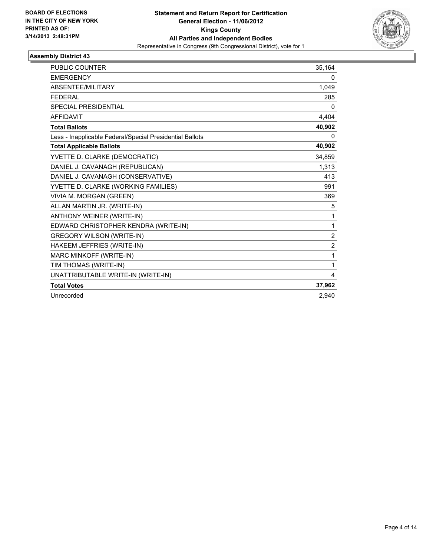

| <b>PUBLIC COUNTER</b>                                    | 35,164         |
|----------------------------------------------------------|----------------|
| <b>EMERGENCY</b>                                         | 0              |
| ABSENTEE/MILITARY                                        | 1,049          |
| <b>FEDERAL</b>                                           | 285            |
| <b>SPECIAL PRESIDENTIAL</b>                              | 0              |
| <b>AFFIDAVIT</b>                                         | 4,404          |
| <b>Total Ballots</b>                                     | 40,902         |
| Less - Inapplicable Federal/Special Presidential Ballots | $\Omega$       |
| <b>Total Applicable Ballots</b>                          | 40,902         |
| YVETTE D. CLARKE (DEMOCRATIC)                            | 34,859         |
| DANIEL J. CAVANAGH (REPUBLICAN)                          | 1,313          |
| DANIEL J. CAVANAGH (CONSERVATIVE)                        | 413            |
| YVETTE D. CLARKE (WORKING FAMILIES)                      | 991            |
| VIVIA M. MORGAN (GREEN)                                  | 369            |
| ALLAN MARTIN JR. (WRITE-IN)                              | 5              |
| ANTHONY WEINER (WRITE-IN)                                | 1              |
| EDWARD CHRISTOPHER KENDRA (WRITE-IN)                     | 1              |
| <b>GREGORY WILSON (WRITE-IN)</b>                         | $\overline{2}$ |
| HAKEEM JEFFRIES (WRITE-IN)                               | $\overline{2}$ |
| MARC MINKOFF (WRITE-IN)                                  | 1              |
| TIM THOMAS (WRITE-IN)                                    | 1              |
| UNATTRIBUTABLE WRITE-IN (WRITE-IN)                       | 4              |
| <b>Total Votes</b>                                       | 37,962         |
| Unrecorded                                               | 2.940          |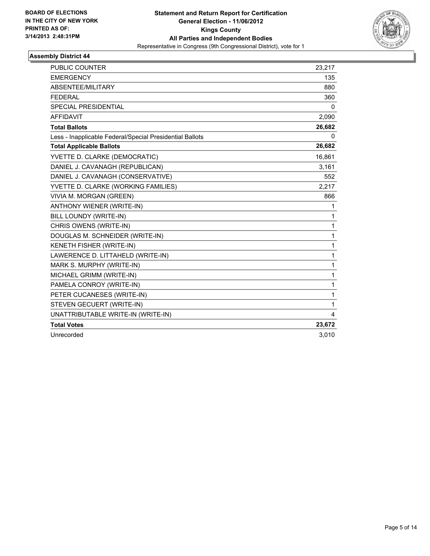

| <b>PUBLIC COUNTER</b>                                    | 23,217       |
|----------------------------------------------------------|--------------|
| <b>EMERGENCY</b>                                         | 135          |
| ABSENTEE/MILITARY                                        | 880          |
| <b>FEDERAL</b>                                           | 360          |
| <b>SPECIAL PRESIDENTIAL</b>                              | 0            |
| <b>AFFIDAVIT</b>                                         | 2,090        |
| <b>Total Ballots</b>                                     | 26,682       |
| Less - Inapplicable Federal/Special Presidential Ballots | 0            |
| <b>Total Applicable Ballots</b>                          | 26,682       |
| YVETTE D. CLARKE (DEMOCRATIC)                            | 16,861       |
| DANIEL J. CAVANAGH (REPUBLICAN)                          | 3,161        |
| DANIEL J. CAVANAGH (CONSERVATIVE)                        | 552          |
| YVETTE D. CLARKE (WORKING FAMILIES)                      | 2.217        |
| VIVIA M. MORGAN (GREEN)                                  | 866          |
| <b>ANTHONY WIENER (WRITE-IN)</b>                         | 1            |
| BILL LOUNDY (WRITE-IN)                                   | $\mathbf{1}$ |
| CHRIS OWENS (WRITE-IN)                                   | $\mathbf{1}$ |
| DOUGLAS M. SCHNEIDER (WRITE-IN)                          | 1            |
| KENETH FISHER (WRITE-IN)                                 | $\mathbf{1}$ |
| LAWERENCE D. LITTAHELD (WRITE-IN)                        | $\mathbf{1}$ |
| MARK S. MURPHY (WRITE-IN)                                | $\mathbf{1}$ |
| MICHAEL GRIMM (WRITE-IN)                                 | 1            |
| PAMELA CONROY (WRITE-IN)                                 | 1            |
| PETER CUCANESES (WRITE-IN)                               | $\mathbf{1}$ |
| STEVEN GECUERT (WRITE-IN)                                | $\mathbf{1}$ |
| UNATTRIBUTABLE WRITE-IN (WRITE-IN)                       | 4            |
| <b>Total Votes</b>                                       | 23,672       |
| Unrecorded                                               | 3,010        |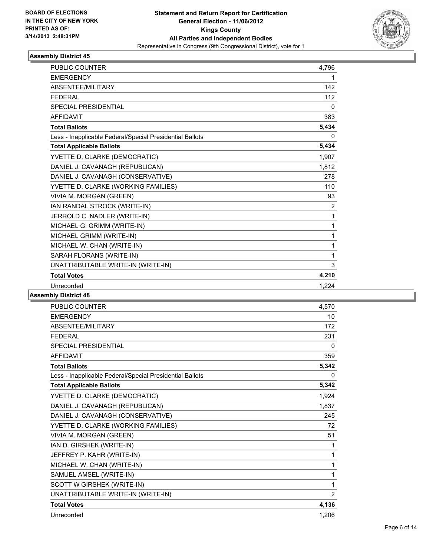

| <b>PUBLIC COUNTER</b>                                    | 4,796          |
|----------------------------------------------------------|----------------|
| <b>EMERGENCY</b>                                         | 1              |
| <b>ABSENTEE/MILITARY</b>                                 | 142            |
| <b>FEDERAL</b>                                           | 112            |
| <b>SPECIAL PRESIDENTIAL</b>                              | 0              |
| <b>AFFIDAVIT</b>                                         | 383            |
| <b>Total Ballots</b>                                     | 5,434          |
| Less - Inapplicable Federal/Special Presidential Ballots | 0              |
| <b>Total Applicable Ballots</b>                          | 5,434          |
| YVETTE D. CLARKE (DEMOCRATIC)                            | 1,907          |
| DANIEL J. CAVANAGH (REPUBLICAN)                          | 1,812          |
| DANIEL J. CAVANAGH (CONSERVATIVE)                        | 278            |
| YVETTE D. CLARKE (WORKING FAMILIES)                      | 110            |
| VIVIA M. MORGAN (GREEN)                                  | 93             |
| IAN RANDAL STROCK (WRITE-IN)                             | $\overline{2}$ |
| JERROLD C. NADLER (WRITE-IN)                             | 1              |
| MICHAEL G. GRIMM (WRITE-IN)                              | 1              |
| MICHAEL GRIMM (WRITE-IN)                                 | 1              |
| MICHAEL W. CHAN (WRITE-IN)                               | 1              |
| SARAH FLORANS (WRITE-IN)                                 | 1              |
| UNATTRIBUTABLE WRITE-IN (WRITE-IN)                       | 3              |
| <b>Total Votes</b>                                       | 4,210          |
| Unrecorded                                               | 1,224          |

| <b>PUBLIC COUNTER</b>                                    | 4,570          |
|----------------------------------------------------------|----------------|
| <b>EMERGENCY</b>                                         | 10             |
| ABSENTEE/MILITARY                                        | 172            |
| <b>FEDERAL</b>                                           | 231            |
| <b>SPECIAL PRESIDENTIAL</b>                              | 0              |
| <b>AFFIDAVIT</b>                                         | 359            |
| <b>Total Ballots</b>                                     | 5,342          |
| Less - Inapplicable Federal/Special Presidential Ballots | $\Omega$       |
| <b>Total Applicable Ballots</b>                          | 5,342          |
| YVETTE D. CLARKE (DEMOCRATIC)                            | 1,924          |
| DANIEL J. CAVANAGH (REPUBLICAN)                          | 1,837          |
| DANIEL J. CAVANAGH (CONSERVATIVE)                        | 245            |
| YVETTE D. CLARKE (WORKING FAMILIES)                      | 72             |
| VIVIA M. MORGAN (GREEN)                                  | 51             |
| IAN D. GIRSHEK (WRITE-IN)                                | 1              |
| JEFFREY P. KAHR (WRITE-IN)                               | 1              |
| MICHAEL W. CHAN (WRITE-IN)                               | 1              |
| SAMUEL AMSEL (WRITE-IN)                                  | 1              |
| SCOTT W GIRSHEK (WRITE-IN)                               | 1              |
| UNATTRIBUTABLE WRITE-IN (WRITE-IN)                       | $\overline{2}$ |
| <b>Total Votes</b>                                       | 4,136          |
| Unrecorded                                               | 1,206          |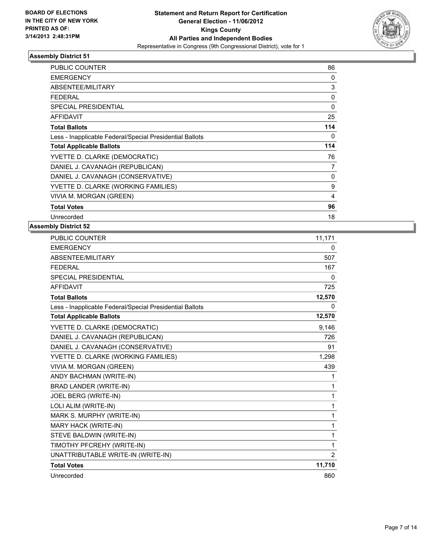

| <b>PUBLIC COUNTER</b>                                    | 86  |
|----------------------------------------------------------|-----|
| <b>EMERGENCY</b>                                         | 0   |
| ABSENTEE/MILITARY                                        | 3   |
| <b>FEDERAL</b>                                           | 0   |
| <b>SPECIAL PRESIDENTIAL</b>                              | 0   |
| <b>AFFIDAVIT</b>                                         | 25  |
| <b>Total Ballots</b>                                     | 114 |
| Less - Inapplicable Federal/Special Presidential Ballots | 0   |
| <b>Total Applicable Ballots</b>                          | 114 |
| YVETTE D. CLARKE (DEMOCRATIC)                            | 76  |
| DANIEL J. CAVANAGH (REPUBLICAN)                          | 7   |
|                                                          |     |
| DANIEL J. CAVANAGH (CONSERVATIVE)                        | 0   |
| YVETTE D. CLARKE (WORKING FAMILIES)                      | 9   |
| VIVIA M. MORGAN (GREEN)                                  | 4   |
| <b>Total Votes</b>                                       | 96  |

| <b>PUBLIC COUNTER</b>                                    | 11,171         |
|----------------------------------------------------------|----------------|
| <b>EMERGENCY</b>                                         | 0              |
| ABSENTEE/MILITARY                                        | 507            |
| <b>FEDERAL</b>                                           | 167            |
| SPECIAL PRESIDENTIAL                                     | 0              |
| <b>AFFIDAVIT</b>                                         | 725            |
| <b>Total Ballots</b>                                     | 12,570         |
| Less - Inapplicable Federal/Special Presidential Ballots | 0              |
| <b>Total Applicable Ballots</b>                          | 12,570         |
| YVETTE D. CLARKE (DEMOCRATIC)                            | 9,146          |
| DANIEL J. CAVANAGH (REPUBLICAN)                          | 726            |
| DANIEL J. CAVANAGH (CONSERVATIVE)                        | 91             |
| YVETTE D. CLARKE (WORKING FAMILIES)                      | 1,298          |
| VIVIA M. MORGAN (GREEN)                                  | 439            |
| ANDY BACHMAN (WRITE-IN)                                  | 1              |
| BRAD LANDER (WRITE-IN)                                   | 1              |
| JOEL BERG (WRITE-IN)                                     | 1              |
| LOLI ALIM (WRITE-IN)                                     | 1              |
| MARK S. MURPHY (WRITE-IN)                                | 1              |
| MARY HACK (WRITE-IN)                                     | 1              |
| STEVE BALDWIN (WRITE-IN)                                 | 1              |
| TIMOTHY PFCREHY (WRITE-IN)                               | 1              |
| UNATTRIBUTABLE WRITE-IN (WRITE-IN)                       | $\overline{2}$ |
| <b>Total Votes</b>                                       | 11,710         |
| Unrecorded                                               | 860            |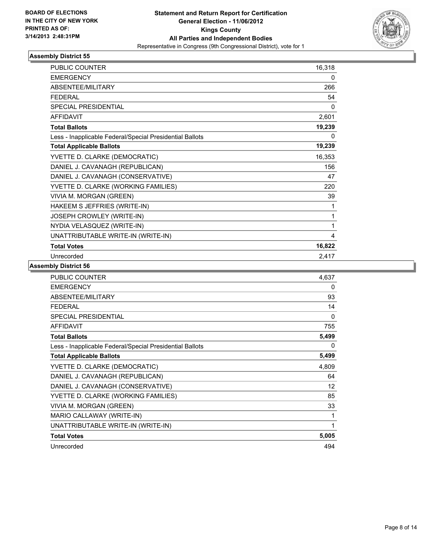

| <b>PUBLIC COUNTER</b>                                    | 16,318       |
|----------------------------------------------------------|--------------|
| <b>EMERGENCY</b>                                         | 0            |
| ABSENTEE/MILITARY                                        | 266          |
| <b>FEDERAL</b>                                           | 54           |
| SPECIAL PRESIDENTIAL                                     | $\mathbf{0}$ |
| <b>AFFIDAVIT</b>                                         | 2,601        |
| <b>Total Ballots</b>                                     | 19,239       |
| Less - Inapplicable Federal/Special Presidential Ballots | 0            |
| <b>Total Applicable Ballots</b>                          | 19,239       |
| YVETTE D. CLARKE (DEMOCRATIC)                            | 16,353       |
| DANIEL J. CAVANAGH (REPUBLICAN)                          | 156          |
| DANIEL J. CAVANAGH (CONSERVATIVE)                        | 47           |
| YVETTE D. CLARKE (WORKING FAMILIES)                      | 220          |
| VIVIA M. MORGAN (GREEN)                                  | 39           |
| HAKEEM S JEFFRIES (WRITE-IN)                             | 1            |
| JOSEPH CROWLEY (WRITE-IN)                                | 1            |
| NYDIA VELASQUEZ (WRITE-IN)                               | 1            |
| UNATTRIBUTABLE WRITE-IN (WRITE-IN)                       | 4            |
| <b>Total Votes</b>                                       | 16,822       |
| Unrecorded                                               | 2,417        |

| <b>PUBLIC COUNTER</b>                                    | 4,637    |
|----------------------------------------------------------|----------|
| <b>EMERGENCY</b>                                         | 0        |
| ABSENTEE/MILITARY                                        | 93       |
| <b>FEDERAL</b>                                           | 14       |
| <b>SPECIAL PRESIDENTIAL</b>                              | $\Omega$ |
| <b>AFFIDAVIT</b>                                         | 755      |
| <b>Total Ballots</b>                                     | 5,499    |
| Less - Inapplicable Federal/Special Presidential Ballots | 0        |
| <b>Total Applicable Ballots</b>                          | 5,499    |
| YVETTE D. CLARKE (DEMOCRATIC)                            | 4,809    |
| DANIEL J. CAVANAGH (REPUBLICAN)                          | 64       |
| DANIEL J. CAVANAGH (CONSERVATIVE)                        | 12       |
| YVETTE D. CLARKE (WORKING FAMILIES)                      | 85       |
| VIVIA M. MORGAN (GREEN)                                  | 33       |
| MARIO CALLAWAY (WRITE-IN)                                | 1        |
| UNATTRIBUTABLE WRITE-IN (WRITE-IN)                       | 1        |
| <b>Total Votes</b>                                       | 5,005    |
| Unrecorded                                               | 494      |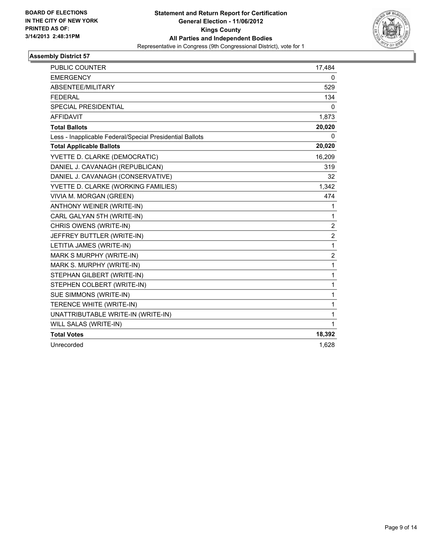

| <b>PUBLIC COUNTER</b>                                    | 17,484                  |
|----------------------------------------------------------|-------------------------|
| <b>EMERGENCY</b>                                         | 0                       |
| ABSENTEE/MILITARY                                        | 529                     |
| <b>FEDERAL</b>                                           | 134                     |
| <b>SPECIAL PRESIDENTIAL</b>                              | $\mathbf{0}$            |
| <b>AFFIDAVIT</b>                                         | 1,873                   |
| <b>Total Ballots</b>                                     | 20,020                  |
| Less - Inapplicable Federal/Special Presidential Ballots | 0                       |
| <b>Total Applicable Ballots</b>                          | 20,020                  |
| YVETTE D. CLARKE (DEMOCRATIC)                            | 16,209                  |
| DANIEL J. CAVANAGH (REPUBLICAN)                          | 319                     |
| DANIEL J. CAVANAGH (CONSERVATIVE)                        | 32                      |
| YVETTE D. CLARKE (WORKING FAMILIES)                      | 1,342                   |
| VIVIA M. MORGAN (GREEN)                                  | 474                     |
| ANTHONY WEINER (WRITE-IN)                                | 1                       |
| CARL GALYAN 5TH (WRITE-IN)                               | $\mathbf{1}$            |
| CHRIS OWENS (WRITE-IN)                                   | 2                       |
| JEFFREY BUTTLER (WRITE-IN)                               | $\overline{2}$          |
| LETITIA JAMES (WRITE-IN)                                 | $\mathbf{1}$            |
| MARK S MURPHY (WRITE-IN)                                 | $\overline{\mathbf{c}}$ |
| MARK S. MURPHY (WRITE-IN)                                | 1                       |
| STEPHAN GILBERT (WRITE-IN)                               | 1                       |
| STEPHEN COLBERT (WRITE-IN)                               | $\mathbf{1}$            |
| SUE SIMMONS (WRITE-IN)                                   | $\mathbf{1}$            |
| TERENCE WHITE (WRITE-IN)                                 | $\mathbf{1}$            |
| UNATTRIBUTABLE WRITE-IN (WRITE-IN)                       | $\mathbf{1}$            |
| WILL SALAS (WRITE-IN)                                    | $\mathbf{1}$            |
| <b>Total Votes</b>                                       | 18,392                  |
| Unrecorded                                               | 1,628                   |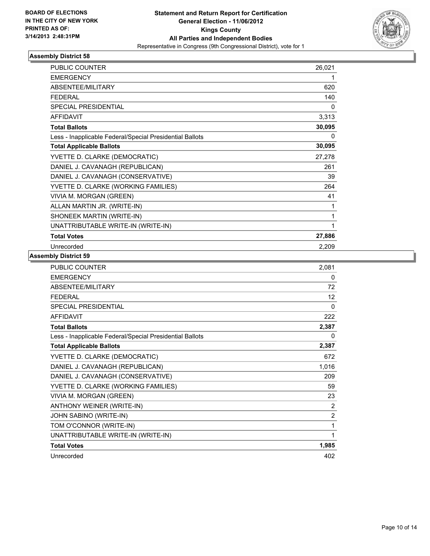

| <b>PUBLIC COUNTER</b>                                    | 26,021 |
|----------------------------------------------------------|--------|
| <b>EMERGENCY</b>                                         | 1      |
| <b>ABSENTEE/MILITARY</b>                                 | 620    |
| <b>FEDERAL</b>                                           | 140    |
| <b>SPECIAL PRESIDENTIAL</b>                              | 0      |
| <b>AFFIDAVIT</b>                                         | 3,313  |
| <b>Total Ballots</b>                                     | 30,095 |
| Less - Inapplicable Federal/Special Presidential Ballots | 0      |
| <b>Total Applicable Ballots</b>                          | 30,095 |
| YVETTE D. CLARKE (DEMOCRATIC)                            | 27,278 |
| DANIEL J. CAVANAGH (REPUBLICAN)                          | 261    |
| DANIEL J. CAVANAGH (CONSERVATIVE)                        | 39     |
| YVETTE D. CLARKE (WORKING FAMILIES)                      | 264    |
| VIVIA M. MORGAN (GREEN)                                  | 41     |
| ALLAN MARTIN JR. (WRITE-IN)                              | 1      |
| SHONEEK MARTIN (WRITE-IN)                                | 1      |
| UNATTRIBUTABLE WRITE-IN (WRITE-IN)                       | 1      |
| <b>Total Votes</b>                                       | 27,886 |
| Unrecorded                                               | 2,209  |

| <b>PUBLIC COUNTER</b>                                    | 2,081          |
|----------------------------------------------------------|----------------|
| <b>EMERGENCY</b>                                         | 0              |
| ABSENTEE/MILITARY                                        | 72             |
| <b>FEDERAL</b>                                           | 12             |
| <b>SPECIAL PRESIDENTIAL</b>                              | $\mathbf{0}$   |
| <b>AFFIDAVIT</b>                                         | 222            |
| <b>Total Ballots</b>                                     | 2,387          |
| Less - Inapplicable Federal/Special Presidential Ballots | 0              |
| <b>Total Applicable Ballots</b>                          | 2,387          |
| YVETTE D. CLARKE (DEMOCRATIC)                            | 672            |
| DANIEL J. CAVANAGH (REPUBLICAN)                          | 1,016          |
| DANIEL J. CAVANAGH (CONSERVATIVE)                        | 209            |
| YVETTE D. CLARKE (WORKING FAMILIES)                      | 59             |
| VIVIA M. MORGAN (GREEN)                                  | 23             |
| ANTHONY WEINER (WRITE-IN)                                | 2              |
| JOHN SABINO (WRITE-IN)                                   | $\overline{2}$ |
| TOM O'CONNOR (WRITE-IN)                                  | 1              |
| UNATTRIBUTABLE WRITE-IN (WRITE-IN)                       | 1              |
| <b>Total Votes</b>                                       | 1,985          |
| Unrecorded                                               | 402            |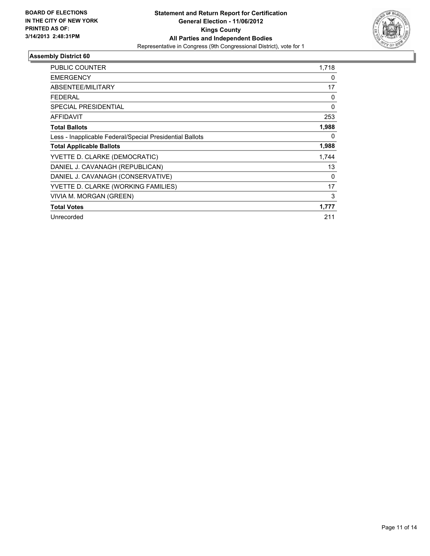

| PUBLIC COUNTER                                           | 1,718    |
|----------------------------------------------------------|----------|
|                                                          |          |
| <b>EMERGENCY</b>                                         | 0        |
| ABSENTEE/MILITARY                                        | 17       |
| FEDERAL                                                  | 0        |
| <b>SPECIAL PRESIDENTIAL</b>                              | $\Omega$ |
| <b>AFFIDAVIT</b>                                         | 253      |
| <b>Total Ballots</b>                                     | 1,988    |
| Less - Inapplicable Federal/Special Presidential Ballots | $\Omega$ |
| <b>Total Applicable Ballots</b>                          | 1,988    |
| YVETTE D. CLARKE (DEMOCRATIC)                            | 1.744    |
| DANIEL J. CAVANAGH (REPUBLICAN)                          | 13       |
| DANIEL J. CAVANAGH (CONSERVATIVE)                        | 0        |
| YVETTE D. CLARKE (WORKING FAMILIES)                      | 17       |
| VIVIA M. MORGAN (GREEN)                                  | 3        |
| <b>Total Votes</b>                                       | 1,777    |
| Unrecorded                                               | 211      |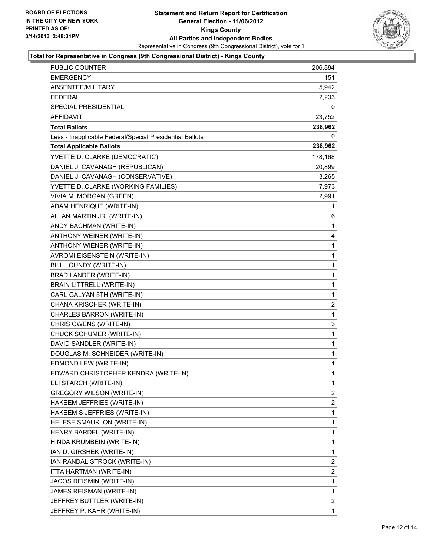

#### **Total for Representative in Congress (9th Congressional District) - Kings County**

| PUBLIC COUNTER                                           | 206,884 |
|----------------------------------------------------------|---------|
| <b>EMERGENCY</b>                                         | 151     |
| ABSENTEE/MILITARY                                        | 5,942   |
| <b>FEDERAL</b>                                           | 2,233   |
| SPECIAL PRESIDENTIAL                                     | 0       |
| AFFIDAVIT                                                | 23,752  |
| <b>Total Ballots</b>                                     | 238,962 |
| Less - Inapplicable Federal/Special Presidential Ballots | 0       |
| <b>Total Applicable Ballots</b>                          | 238,962 |
| YVETTE D. CLARKE (DEMOCRATIC)                            | 178,168 |
| DANIEL J. CAVANAGH (REPUBLICAN)                          | 20,899  |
| DANIEL J. CAVANAGH (CONSERVATIVE)                        | 3,265   |
| YVETTE D. CLARKE (WORKING FAMILIES)                      | 7,973   |
| VIVIA M. MORGAN (GREEN)                                  | 2,991   |
| ADAM HENRIQUE (WRITE-IN)                                 | 1       |
| ALLAN MARTIN JR. (WRITE-IN)                              | 6       |
| ANDY BACHMAN (WRITE-IN)                                  | 1       |
| ANTHONY WEINER (WRITE-IN)                                | 4       |
| ANTHONY WIENER (WRITE-IN)                                | 1       |
| AVROMI EISENSTEIN (WRITE-IN)                             | 1       |
| BILL LOUNDY (WRITE-IN)                                   | 1       |
| BRAD LANDER (WRITE-IN)                                   | 1       |
| <b>BRAIN LITTRELL (WRITE-IN)</b>                         | 1       |
| CARL GALYAN 5TH (WRITE-IN)                               | 1       |
| CHANA KRISCHER (WRITE-IN)                                | 2       |
| CHARLES BARRON (WRITE-IN)                                | 1       |
| CHRIS OWENS (WRITE-IN)                                   | 3       |
| CHUCK SCHUMER (WRITE-IN)                                 | 1       |
| DAVID SANDLER (WRITE-IN)                                 | 1       |
| DOUGLAS M. SCHNEIDER (WRITE-IN)                          | 1       |
| EDMOND LEW (WRITE-IN)                                    | 1       |
| EDWARD CHRISTOPHER KENDRA (WRITE-IN)                     | 1       |
| ELI STARCH (WRITE-IN)                                    | 1       |
| <b>GREGORY WILSON (WRITE-IN)</b>                         | 2       |
| HAKEEM JEFFRIES (WRITE-IN)                               | 2       |
| HAKEEM S JEFFRIES (WRITE-IN)                             | 1       |
| HELESE SMAUKLON (WRITE-IN)                               | 1       |
| HENRY BARDEL (WRITE-IN)                                  | 1       |
| HINDA KRUMBEIN (WRITE-IN)                                | 1       |
| IAN D. GIRSHEK (WRITE-IN)                                | 1       |
| IAN RANDAL STROCK (WRITE-IN)                             | 2       |
| ITTA HARTMAN (WRITE-IN)                                  | 2       |
| JACOS REISMIN (WRITE-IN)                                 | 1       |
| JAMES REISMAN (WRITE-IN)                                 | 1       |
| JEFFREY BUTTLER (WRITE-IN)                               | 2       |
| JEFFREY P. KAHR (WRITE-IN)                               | 1       |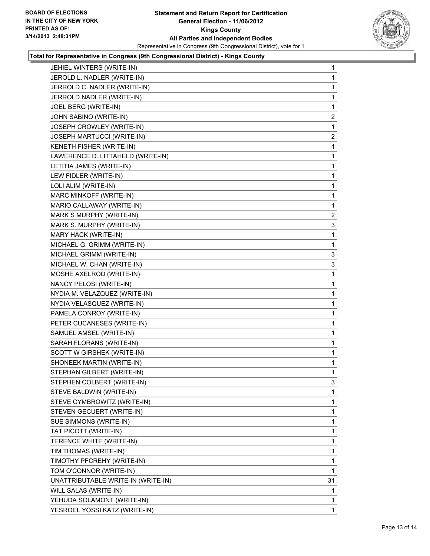

#### **Total for Representative in Congress (9th Congressional District) - Kings County**

| JEHIEL WINTERS (WRITE-IN)          | 1              |
|------------------------------------|----------------|
| JEROLD L. NADLER (WRITE-IN)        | 1              |
| JERROLD C. NADLER (WRITE-IN)       | 1              |
| JERROLD NADLER (WRITE-IN)          | 1              |
| JOEL BERG (WRITE-IN)               | 1              |
| JOHN SABINO (WRITE-IN)             | 2              |
| JOSEPH CROWLEY (WRITE-IN)          | 1              |
| JOSEPH MARTUCCI (WRITE-IN)         | $\overline{c}$ |
| KENETH FISHER (WRITE-IN)           | 1              |
| LAWERENCE D. LITTAHELD (WRITE-IN)  | 1              |
| LETITIA JAMES (WRITE-IN)           | 1              |
| LEW FIDLER (WRITE-IN)              | 1              |
| LOLI ALIM (WRITE-IN)               | 1              |
| MARC MINKOFF (WRITE-IN)            | 1              |
| MARIO CALLAWAY (WRITE-IN)          | 1              |
| MARK S MURPHY (WRITE-IN)           | $\mathbf{2}$   |
| MARK S. MURPHY (WRITE-IN)          | 3              |
| MARY HACK (WRITE-IN)               | 1              |
| MICHAEL G. GRIMM (WRITE-IN)        | 1              |
| MICHAEL GRIMM (WRITE-IN)           | 3              |
| MICHAEL W. CHAN (WRITE-IN)         | 3              |
| MOSHE AXELROD (WRITE-IN)           | 1              |
| NANCY PELOSI (WRITE-IN)            | 1              |
| NYDIA M. VELAZQUEZ (WRITE-IN)      | 1              |
| NYDIA VELASQUEZ (WRITE-IN)         | 1              |
| PAMELA CONROY (WRITE-IN)           | 1              |
| PETER CUCANESES (WRITE-IN)         | 1              |
| SAMUEL AMSEL (WRITE-IN)            | 1              |
| SARAH FLORANS (WRITE-IN)           | 1              |
| SCOTT W GIRSHEK (WRITE-IN)         | 1              |
| SHONEEK MARTIN (WRITE-IN)          | 1              |
| STEPHAN GILBERT (WRITE-IN)         | 1              |
| STEPHEN COLBERT (WRITE-IN)         | 3              |
| STEVE BALDWIN (WRITE-IN)           | 1              |
| STEVE CYMBROWITZ (WRITE-IN)        | 1              |
| STEVEN GECUERT (WRITE-IN)          | 1              |
| SUE SIMMONS (WRITE-IN)             | 1              |
| TAT PICOTT (WRITE-IN)              | 1              |
| TERENCE WHITE (WRITE-IN)           | 1              |
| TIM THOMAS (WRITE-IN)              | 1              |
| TIMOTHY PFCREHY (WRITE-IN)         | 1              |
| TOM O'CONNOR (WRITE-IN)            | 1              |
| UNATTRIBUTABLE WRITE-IN (WRITE-IN) | 31             |
| WILL SALAS (WRITE-IN)              | 1              |
| YEHUDA SOLAMONT (WRITE-IN)         | 1              |
| YESROEL YOSSI KATZ (WRITE-IN)      | 1              |
|                                    |                |